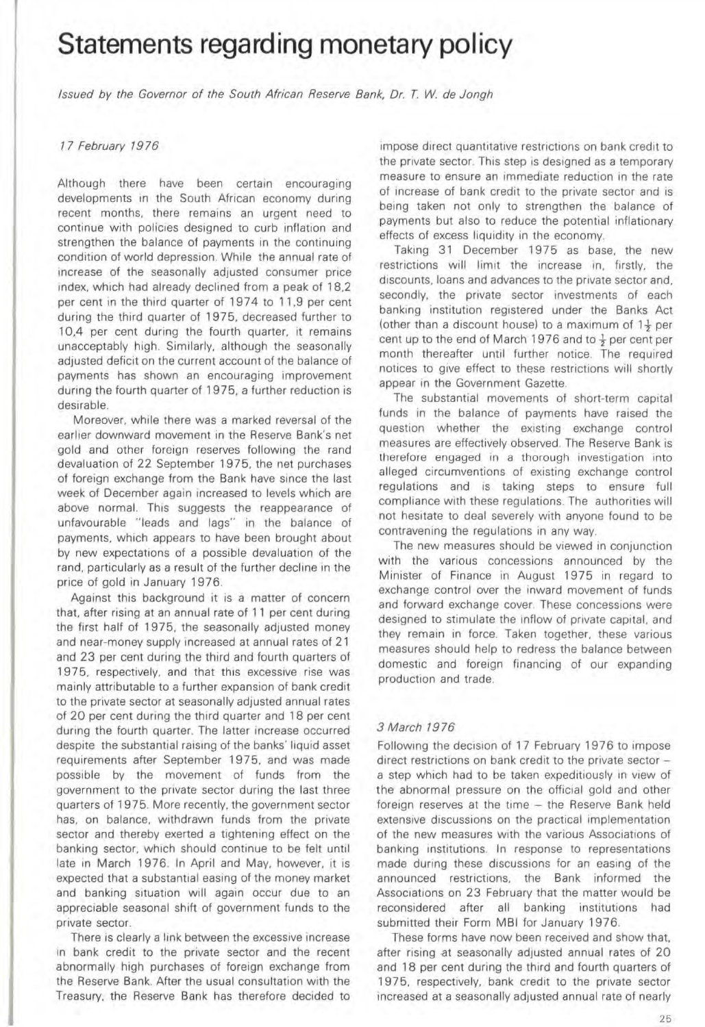# **Statements regarding monetary policy**

Issued by the Governor of the South African Reserve Bank. Dr. T. *W.* de Jongh

### 17 February 1976

Although there have been certain encouraging developments in the South African economy during recent months. there remains an urgent need to continue with policies designed to curb inflation and strengthen the balance of payments in the continuing condition of world depression. While the annual rate of increase of the seasonally adjusted consumer price index. which had already declined from a peak of 18.2 per cent in the third quarter of 1974 to 11 .9 per cent during the third quarter of 1975. decreased further to 10.4 per cent during the fourth quarter. it remains unacceptably high. Similarly. although the seasonally adjusted deficit on the current account of the balance of payments has shown an encouraging improvement during the fourth quarter of 1975. a further reduction is desirable.

Moreover. while there was a marked reversal of the earlier downward movement in the Reserve Bank's net gold and other foreign reserves following the rand devaluation of 22 September 1975. the net purchases of foreign exchange from the Bank have since the last week of December again increased to levels which are above normal. This suggests the reappearance of unfavourable "leads and lags" in the balance of payments. which appears to have been brought about by new expectations of a possible devaluation of the rand. particularly as a result of the further decline in the price of gold in January 1976.

Against this background it is a matter of concern that. after rising at an annual rate of 11 per cent during the first half of 1975. the seasonally adjusted money and near-money supply Increased at annual rates of 21 and 23 per cent during the third and fourth quarters of 1975, respectively, and that this excessive rise was mainly attributable to a further expansion of bank credit to the private sector at seasonally adjusted annual rates of 20 per cent during the third quarter and 18 per cent during the fourth quarter. The latter increase occurred despite the substantial raising of the banks' liquid asset requirements after September 1975. and was made possible by the movement of funds from the government to the private sector during the last three quarters of 1975. More recently. the government sector has. on balance. withdrawn funds from the private sector and thereby exerted a tightening effect on the banking sector. which should continue to be felt until late in March 1976. In April and May, however, it is expected that a substantial easing of the money market and banking situation will again occur due to an appreciable seasonal shift of government funds to the **private sector.** 

There is clearly a link between the excessive increase in bank credit to the private sector and the recent abnormally high purchases of foreign exchange from the Reserve Bank. After the usual consultation with the Treasury. the Reserve Bank has therefore decided to

Impose direct quantitative restrictions on bank credit to the private sector. This step is designed as a temporary measure to ensure an immediate reduction in the rate of Increase of bank credit to the private sector and is being taken not only to strengthen the balance of payments but also to reduce the potential inflationary effects of excess liquidity in the economy.

Taking 31 December 1975 as base. the new restrictions will limit the increase in, firstly, the discounts, loans and advances to the private sector and, secondly. the private sector investments of each banking institution registered under the Banks Act (other than a discount house) to a maximum of  $1\frac{1}{2}$  per cent up to the end of March 1976 and to  $\frac{1}{2}$  per cent per month thereafter until further notice. The required notices to give effect to these restrictions will shortly appear in the Government Gazette.

The substantial movements of short-term capital funds in the balance of payments have raised the question whether the existing exchange control measures are effectively observed. The Reserve Bank is **therefore engaged In a thorough investigation into**  alleged circumventions of existing exchange control regulations and is taking steps to ensure full compliance with these regulations . The authorities will not hesitate to deal severely with anyone found to be contravening the regulations in any way.

The new measures should be viewed in conjunction with the various concessions announced by the Minister of Finance in August 1975 in regard to exchange control over the Inward movement of funds and forward exchange cover. These concessions were designed to stimulate the inflow of private capital, and they remain in force. Taken together. these various measures should help to redress the balance between domestic and foreign financing of our expanding production and trade.

### 3 March 1976

Following the decision of 17 February 1976 to impose direct restrictions on bank credit to the private sector a step which had to be taken expeditiously in view of the abnormal pressure on the official gold and other foreign reserves at the time - the Reserve Bank held extensive discussions on the practical implementation of the new measures with the various Associations of banking institutions. In response to representations made during these discussions for an easing of the announced restrictions. the Bank informed the Associations on 23 February that the matter would be reconsidered after all banking institutions had submitted their Form MBI for January 1976.

These forms have now been received and show that. after rising at seasonally adjusted annual rates of 20 and 18 per cent during the third and fourth quarters of 1975. respectively. bank credit to the private sector increased at a seasonally adjusted annual rate of nearly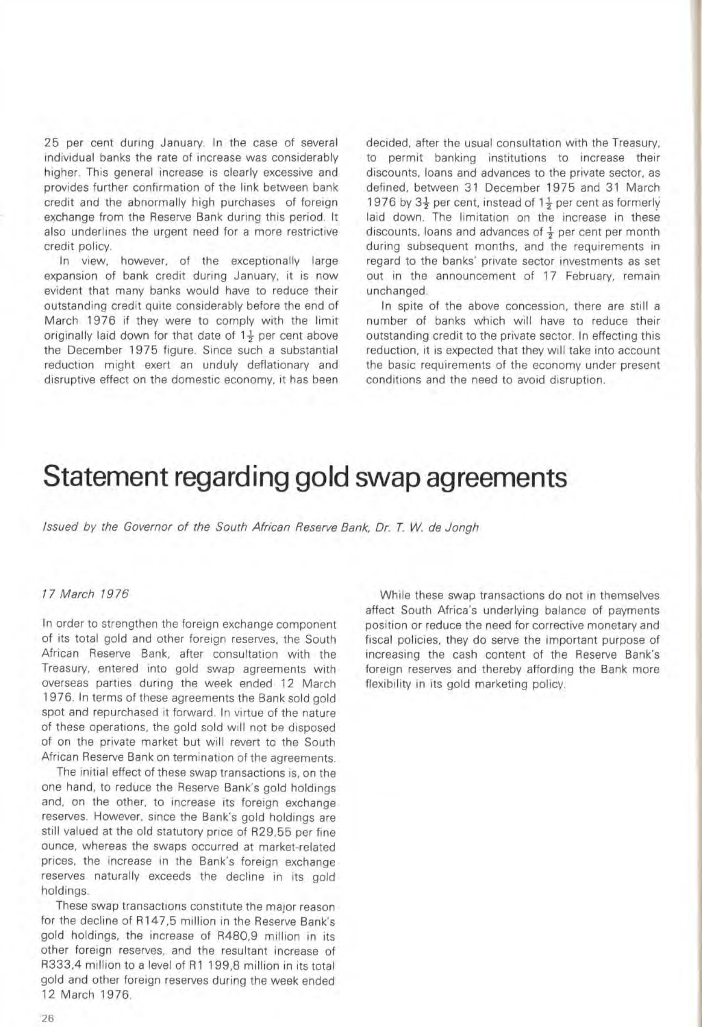25 per cent during January. In the case of several individual banks the rate of increase was considerably higher. This general increase is clearly excessive and provides further confirmation of the link between bank credit and the abnormally high purchases of foreign exchange from the Reserve Bank during this period. It also underlines the urgent need for a more restrictive credit policy.

In View, however, of the exceptionally large expansion of bank credit during January, it is now evident that many banks would have to reduce their outstanding credit quite considerably before the end of March 1976 if they were to comply with the limit originally laid down for that date of  $1\frac{1}{2}$  per cent above the December 1975 figure. Since such a substantial reduction might exert an unduly deflationary and disruptive effect on the domestic economy, it has been decided, after the usual consultation with the Treasury, to permit banking institutions to increase their discounts, loans and advances to the private sector, as defined, between 31 December 1975 and 31 March 1976 by  $3\frac{1}{2}$  per cent, instead of  $1\frac{1}{2}$  per cent as formerly laid down. The limitation on the increase in these discounts, loans and advances of  $\frac{1}{2}$  per cent per month during subsequent months, and the requirements in regard to the banks' private sector investments as set out in the announcement of 17 February, remain unchanged.

In spite of the above concession, there are still a number of banks which will have to reduce their outstanding credit to the private sector. In effecting this reduction, it is expected that they will take into account the basic requirements of the economy under present conditions and the need to avoid disruption.

# **Statement regarding gold swap agreements**

Issued *by* the Governor of the South African Reserve Bank, Dr. *T.* W. de Jongh

### 17 March 1976

In order to strengthen the foreign exchange component of its total gold and other foreign reserves, the South African Reserve Bank, after consultation with the Treasury, entered into gold swap agreements with overseas parties during the week ended 12 March 1976. In terms of these agreements the Bank sold gold spot and repurchased it forward. In virtue of the nature of these operations, the gold sold will not be disposed of on the private market but will revert to the South African Reserve Bank on termination of the agreements.

The initial effect of these swap transactions is, on the one hand, to reduce the Reserve Bank's gold holdings and, on the other, to increase its foreign exchange reserves. However, since the Bank's gold holdings are still valued at the old statutory price of R29,55 per fine ounce, whereas the swaps occurred at market-related prices, the increase in the Bank's foreign exchange reserves naturally exceeds the decline in its gold holdings.

These swap transactions constitute the major reason for the decline of R147,5 million in the Reserve Bank's gold holdings, the increase of R4BO,9 million in its other foreign reserves, and the resultant increase of R333,4 million to a level of R1 199,8 million in its total gold and other foreign reserves during the week ended 12 March 1976,

While these swap transactions do not in themselves affect South Africa's underlying balance of payments position or reduce the need for corrective monetary and fiscal policies, they do serve the important purpose of increasing the cash content of the Reserve Bank's foreign reserves and thereby affording the Bank more flexibility in its gold marketing policy.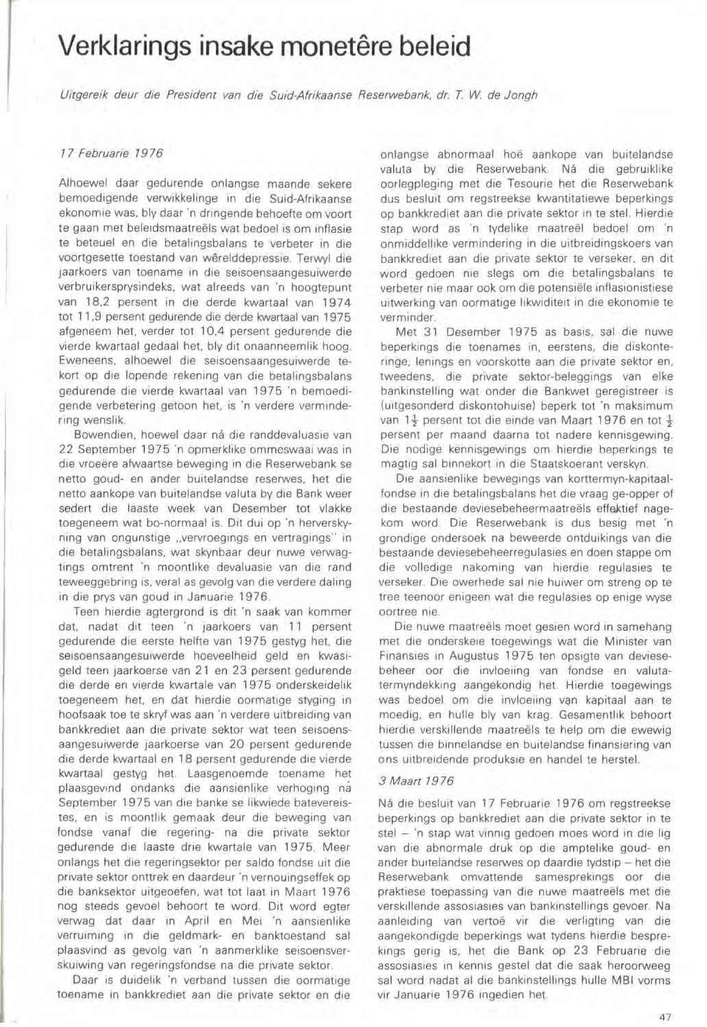# **Verklarings insake monetêre beleid**

Uirgereik deur die President van die Suid-Afrikaanse Reserwebank, dr, *T. W.* de Jongh

### 17 Februarie 1976

Alhoewel daar gedurende onlangse maande sekere bemoedigende verwikkelinge in die Suid-Afrikaanse ekonomie was, bly daar 'n dringende behoefte om voort te gaan met beleidsmaatreëls wat bedoel is om inflasie te beteuel en die betalingsbalans te verbeter in die voortgesette toestand van werelddepressle. Terwyl die **Jaarkoers van toename in die seisoensaangesuiwerde**  verbruikersprysindeks, wat alreeds van 'n hoogtepunt van lB,2 persent in die derde kwartaal van 1974 tot 11,9 persent gedurende die derde kwartaal van 1975 afgeneem het, verder tot 10.4 persent gedurende die vierde kwartaal gedaal het, bly dit onaanneemlik hoog. Eweneens, alhoewel die seisoensaangesuiwerde tekort op die lopende rekening van die betalingsbalans gedurende die vierde kwartaal van 1975 'n bemoedigende verbetering getoon het. is 'n verdere vermindering wenslik.

Bowendien, hoewel daar ná die randdevaluasie van 22 September 1975 'n opmerklike ommeswaal was in die vroeere afwaartse beweging in die Reserwebank se netto goud- en ander buitelandse reserwes, het die netto aankope van buitelandse valuta by die Bank weer sedert die laaste week van Oesember tot vlakke toegeneem wat bo-normaal is. Dit dui op 'n herverskyning van ongunstige .. vervroegings en vertraglngs" in die betalingsbalans, wat skynbaar deur nuwe verwagtings omtrent 'n moontlike devaluasie van die rand teweeggebring is, veral as gevolg van die verdere daling in die prys van goud in Januarie 1976.

Teen hierdie agtergrond is dit 'n saak van kommer dat, nadat dit teen 'n jaarkoers van **1 1** persent gedurende die eerste helfte van 1975 gestyg het, die selsoensaangesuiwerde hoeveelheid geld en kwasigeld teen jaarkoerse van 21 en 23 persent gedurende die derde en vierde kwartale van 1975 onderskeidellk toegeneem het, en dat hierdie oormatige styging In hoofsaak toe te skryf was aan 'n verdere uitbreiding van bankkrediet aan die private sektor wat teen selsoensaangesuiwerde jaarkoerse van 20 persent gedurende die derde kwartaal en 18 persent gedurende die vierde kwartaal gestyg het. Laasgenoemde toename het plaasgevind ondanks die aansienlike verhoging na September 1975 van die banke se likwiede batevereistes, en is moontlik gemaak deur die beweging van fondse vanaf die regering- na die private sektor gedurende die laaste drie kwartale van 1975. Meer onlangs het die regeringsektor per saldo fondse uit die private sektor onttrek en daardeur 'n vernouingseffek op die banksektor uitgeoefen, wat tot laat in Maart 1976 nog steeds gevoel behoart te word. Oit word egter verwag dat daar in April en Mel 'n aansienlike verruiming in die geldmark- en banktoestand sal plaasvind as gevolg van 'n aanmerklike seisoensverskuiwing van regeringsfondse na die private sektar.

Daar is duidelik 'n verband tussen die oormatige toename in bankkredlet aan die private sektor en die

onlangse abnormaal hoe aankope van buitelandse valuta by die Reserwebank. Ná die gebruiklike oorlegpleging met die Tesourie het die Reserwebank dus besluit om regstreekse kwantitatiewe beperkings op bankkrediet aan die private sektor in te stel. Hierdie stap word as 'n tydelike maatreël bedoel om 'n onmiddellike vermindering in die uitbreidingskoers van bankkrediet aan die private sektar te verseker, en dit word gedoen nle slegs om die betalingsbalans te verbeter nie maar ook om die potensiele Inflasionistiese uitwerking van oormatige likwiditeit in die ekonomie te **verminder.** 

Met 31 Desember 1975 as basis, sal die nuwe beperkings die toenames in, eerstens, die diskonteringe, lenings en voorskotte aan die private sektor en, tweedens, die private sektor-beleggings van elke bankinstelling wat onder die Bankwet geregistreer is (uitgesonderd diskontohuise) beperk tot 'n maksimum van 1 $\frac{1}{2}$  persent tot die einde van Maart 1976 en tot  $\frac{1}{2}$ persent per maand daarna tot nadere kennisgewing. Die nodige kennisgewings om hierdie beperkings te magtig sal binnekort in die Staatskoerant verskyn.

Die aansienlike bewegings van korttermyn-kapitaalfondse in die betallngsbalans het die vraag ge-opper of die bestaande deviesebeheermaatreëls effektief nagekom ward. Die Reserwebank is dus besig met 'n grondige ondersoek na beweerde ontduikings van die bestaande deviesebeheerregulasies en doen stappe om die volledige nakoming van hierdie regulasies te verseker. Ole owerhede sal nie huiwer om streng op te tree teenoor enigeen wat die regulasies op enige wyse **oortree nle.** 

Die nuwe maatreëls moet gesien word in samehang met die onderskele toegewings wat die Minister van Finansies in Augustus 1975 ten opsigte van deviesebeheer oor die invloeiing van fondse en valutatermyndekking aangekondig het. Hierdie toegewings was bedoel om die invloeiing van kapitaal aan te moedig, en hulle bly van krag. Gesamentlik behoort hierdie verskillende maatreëls te help om die ewewig tussen die binnelandse en buitelandse finansiering van ons uitbreidende produksie en handel te herstel.

### 3 Maart 7976

Ná die besluit van 17 Februarie 1976 om regstreekse beperkings op bankkrediet aan die private sektor in te stel - 'n stap wat vinnig gedoen moes word in die lig van die abnormale druk op die amptelike goud- en ander buitelandse reserwes op daardie tydstip - het die Reserwebank omvattende samesprekings oor die praktiese toepasslng van die nuwe maatreels met die verskillende assosiasies van bankinstellings gevoer. Na aanleiding van vertoë vir die verligting van die aangekondigde beperkings wat tydens hierdie besprekings gerig is, het die Bank op 23 Februarie die assosiasies in kennis gestel dat die saak heroorweeg sal word nadat al die bankinstellings hulle MBI vorms vir Januarie 1976 ingedien het.